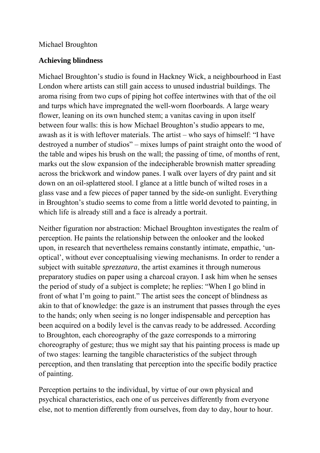## Michael Broughton

## **Achieving blindness**

Michael Broughton's studio is found in Hackney Wick, a neighbourhood in East London where artists can still gain access to unused industrial buildings. The aroma rising from two cups of piping hot coffee intertwines with that of the oil and turps which have impregnated the well-worn floorboards. A large weary flower, leaning on its own hunched stem; a vanitas caving in upon itself between four walls: this is how Michael Broughton's studio appears to me, awash as it is with leftover materials. The artist – who says of himself: "I have destroyed a number of studios" – mixes lumps of paint straight onto the wood of the table and wipes his brush on the wall; the passing of time, of months of rent, marks out the slow expansion of the indecipherable brownish matter spreading across the brickwork and window panes. I walk over layers of dry paint and sit down on an oil-splattered stool. I glance at a little bunch of wilted roses in a glass vase and a few pieces of paper tanned by the side-on sunlight. Everything in Broughton's studio seems to come from a little world devoted to painting, in which life is already still and a face is already a portrait.

Neither figuration nor abstraction: Michael Broughton investigates the realm of perception. He paints the relationship between the onlooker and the looked upon, in research that nevertheless remains constantly intimate, empathic, 'unoptical', without ever conceptualising viewing mechanisms. In order to render a subject with suitable *sprezzatura*, the artist examines it through numerous preparatory studies on paper using a charcoal crayon. I ask him when he senses the period of study of a subject is complete; he replies: "When I go blind in front of what I'm going to paint." The artist sees the concept of blindness as akin to that of knowledge: the gaze is an instrument that passes through the eyes to the hands; only when seeing is no longer indispensable and perception has been acquired on a bodily level is the canvas ready to be addressed. According to Broughton, each choreography of the gaze corresponds to a mirroring choreography of gesture; thus we might say that his painting process is made up of two stages: learning the tangible characteristics of the subject through perception, and then translating that perception into the specific bodily practice of painting.

Perception pertains to the individual, by virtue of our own physical and psychical characteristics, each one of us perceives differently from everyone else, not to mention differently from ourselves, from day to day, hour to hour.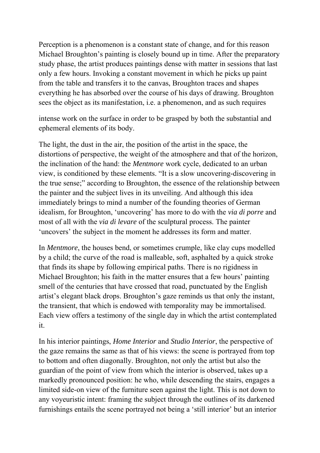Perception is a phenomenon is a constant state of change, and for this reason Michael Broughton's painting is closely bound up in time. After the preparatory study phase, the artist produces paintings dense with matter in sessions that last only a few hours. Invoking a constant movement in which he picks up paint from the table and transfers it to the canvas, Broughton traces and shapes everything he has absorbed over the course of his days of drawing. Broughton sees the object as its manifestation, i.e. a phenomenon, and as such requires

intense work on the surface in order to be grasped by both the substantial and ephemeral elements of its body.

The light, the dust in the air, the position of the artist in the space, the distortions of perspective, the weight of the atmosphere and that of the horizon, the inclination of the hand: the *Mentmore* work cycle, dedicated to an urban view, is conditioned by these elements. "It is a slow uncovering-discovering in the true sense;" according to Broughton, the essence of the relationship between the painter and the subject lives in its unveiling. And although this idea immediately brings to mind a number of the founding theories of German idealism, for Broughton, 'uncovering' has more to do with the *via di porre* and most of all with the *via di levare* of the sculptural process. The painter 'uncovers' the subject in the moment he addresses its form and matter.

In *Mentmore*, the houses bend, or sometimes crumple, like clay cups modelled by a child; the curve of the road is malleable, soft, asphalted by a quick stroke that finds its shape by following empirical paths. There is no rigidness in Michael Broughton; his faith in the matter ensures that a few hours' painting smell of the centuries that have crossed that road, punctuated by the English artist's elegant black drops. Broughton's gaze reminds us that only the instant, the transient, that which is endowed with temporality may be immortalised. Each view offers a testimony of the single day in which the artist contemplated it.

In his interior paintings, *Home Interior* and *Studio Interior*, the perspective of the gaze remains the same as that of his views: the scene is portrayed from top to bottom and often diagonally. Broughton, not only the artist but also the guardian of the point of view from which the interior is observed, takes up a markedly pronounced position: he who, while descending the stairs, engages a limited side-on view of the furniture seen against the light. This is not down to any voyeuristic intent: framing the subject through the outlines of its darkened furnishings entails the scene portrayed not being a 'still interior' but an interior